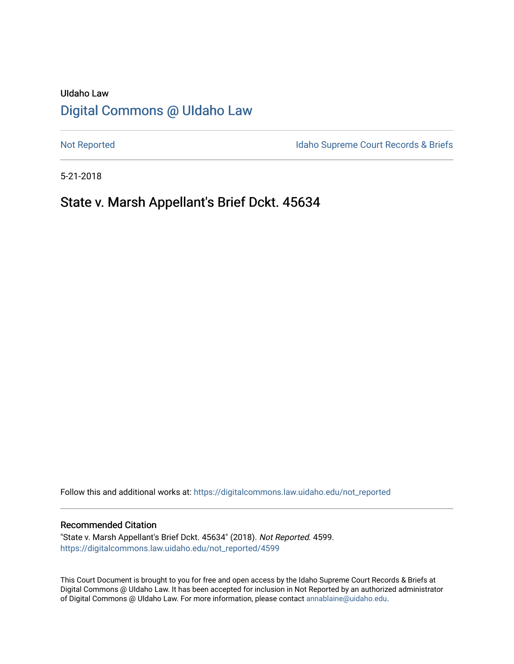# UIdaho Law [Digital Commons @ UIdaho Law](https://digitalcommons.law.uidaho.edu/)

[Not Reported](https://digitalcommons.law.uidaho.edu/not_reported) **Idaho Supreme Court Records & Briefs** 

5-21-2018

# State v. Marsh Appellant's Brief Dckt. 45634

Follow this and additional works at: [https://digitalcommons.law.uidaho.edu/not\\_reported](https://digitalcommons.law.uidaho.edu/not_reported?utm_source=digitalcommons.law.uidaho.edu%2Fnot_reported%2F4599&utm_medium=PDF&utm_campaign=PDFCoverPages) 

#### Recommended Citation

"State v. Marsh Appellant's Brief Dckt. 45634" (2018). Not Reported. 4599. [https://digitalcommons.law.uidaho.edu/not\\_reported/4599](https://digitalcommons.law.uidaho.edu/not_reported/4599?utm_source=digitalcommons.law.uidaho.edu%2Fnot_reported%2F4599&utm_medium=PDF&utm_campaign=PDFCoverPages)

This Court Document is brought to you for free and open access by the Idaho Supreme Court Records & Briefs at Digital Commons @ UIdaho Law. It has been accepted for inclusion in Not Reported by an authorized administrator of Digital Commons @ UIdaho Law. For more information, please contact [annablaine@uidaho.edu](mailto:annablaine@uidaho.edu).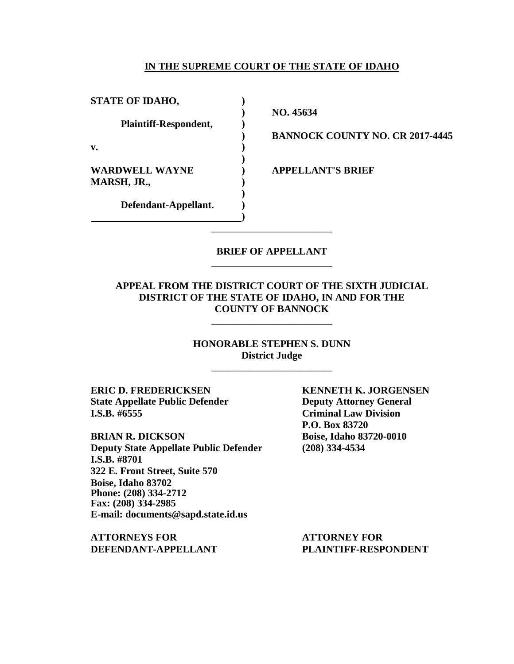### **IN THE SUPREME COURT OF THE STATE OF IDAHO**

**STATE OF IDAHO, ) Plaintiff-Respondent, ) v. ) WARDWELL WAYNE ) APPELLANT'S BRIEF MARSH, JR., ) Defendant-Appellant. )**

**) NO. 45634**

**) BANNOCK COUNTY NO. CR 2017-4445**

### **BRIEF OF APPELLANT** \_\_\_\_\_\_\_\_\_\_\_\_\_\_\_\_\_\_\_\_\_\_\_\_

\_\_\_\_\_\_\_\_\_\_\_\_\_\_\_\_\_\_\_\_\_\_\_\_

**)**

**)**

**)**

### **APPEAL FROM THE DISTRICT COURT OF THE SIXTH JUDICIAL DISTRICT OF THE STATE OF IDAHO, IN AND FOR THE COUNTY OF BANNOCK**

\_\_\_\_\_\_\_\_\_\_\_\_\_\_\_\_\_\_\_\_\_\_\_\_

**HONORABLE STEPHEN S. DUNN District Judge** \_\_\_\_\_\_\_\_\_\_\_\_\_\_\_\_\_\_\_\_\_\_\_\_

**ERIC D. FREDERICKSEN KENNETH K. JORGENSEN State Appellate Public Defender Deputy Attorney General I.S.B. #6555 Criminal Law Division**

**BRIAN R. DICKSON Boise, Idaho 83720-0010 Deputy State Appellate Public Defender (208) 334-4534 I.S.B. #8701 322 E. Front Street, Suite 570 Boise, Idaho 83702 Phone: (208) 334-2712 Fax: (208) 334-2985 E-mail: documents@sapd.state.id.us**

**ATTORNEYS FOR ATTORNEY FOR DEFENDANT-APPELLANT PLAINTIFF-RESPONDENT**

**P.O. Box 83720**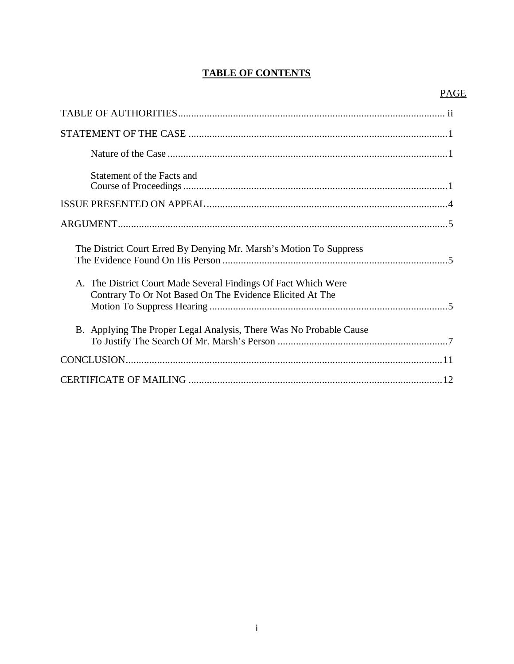# **TABLE OF CONTENTS**

# PAGE

| Statement of the Facts and                                                                                                 |
|----------------------------------------------------------------------------------------------------------------------------|
|                                                                                                                            |
|                                                                                                                            |
| The District Court Erred By Denying Mr. Marsh's Motion To Suppress                                                         |
| A. The District Court Made Several Findings Of Fact Which Were<br>Contrary To Or Not Based On The Evidence Elicited At The |
| B. Applying The Proper Legal Analysis, There Was No Probable Cause                                                         |
|                                                                                                                            |
|                                                                                                                            |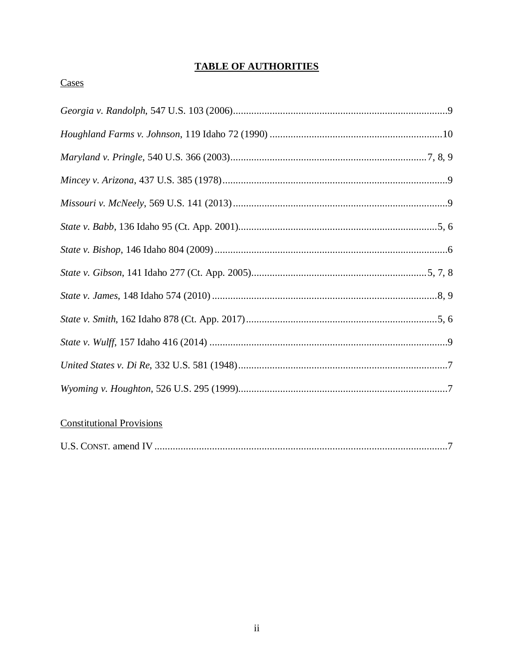# **TABLE OF AUTHORITIES**

# Cases

# **Constitutional Provisions**

|--|--|--|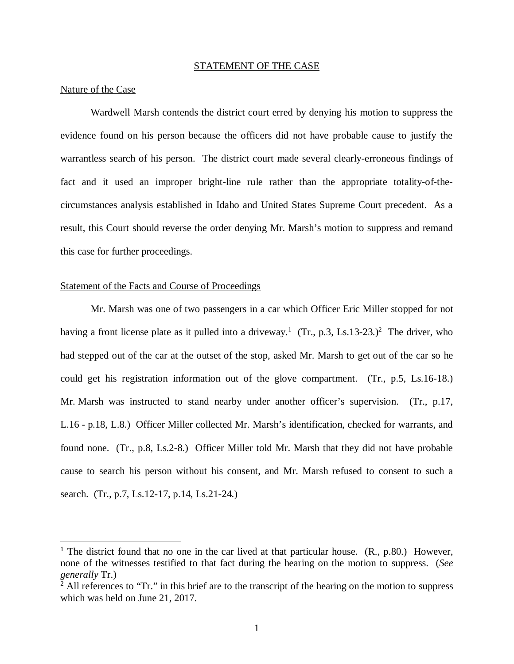#### STATEMENT OF THE CASE

#### Nature of the Case

Wardwell Marsh contends the district court erred by denying his motion to suppress the evidence found on his person because the officers did not have probable cause to justify the warrantless search of his person. The district court made several clearly-erroneous findings of fact and it used an improper bright-line rule rather than the appropriate totality-of-thecircumstances analysis established in Idaho and United States Supreme Court precedent. As a result, this Court should reverse the order denying Mr. Marsh's motion to suppress and remand this case for further proceedings.

#### Statement of the Facts and Course of Proceedings

Mr. Marsh was one of two passengers in a car which Officer Eric Miller stopped for not having a front license plate as it pulled into a driveway.<sup>[1](#page-4-0)</sup> (Tr., p.3, Ls.13-[2](#page-4-1)3.)<sup>2</sup> The driver, who had stepped out of the car at the outset of the stop, asked Mr. Marsh to get out of the car so he could get his registration information out of the glove compartment. (Tr., p.5, Ls.16-18.) Mr. Marsh was instructed to stand nearby under another officer's supervision. (Tr., p.17, L.16 - p.18, L.8.) Officer Miller collected Mr. Marsh's identification, checked for warrants, and found none. (Tr., p.8, Ls.2-8.) Officer Miller told Mr. Marsh that they did not have probable cause to search his person without his consent, and Mr. Marsh refused to consent to such a search. (Tr., p.7, Ls.12-17, p.14, Ls.21-24.)

<span id="page-4-0"></span><sup>&</sup>lt;sup>1</sup> The district found that no one in the car lived at that particular house.  $(R., p.80.)$  However, none of the witnesses testified to that fact during the hearing on the motion to suppress. (*See generally* Tr.)

<span id="page-4-1"></span> $2$  All references to "Tr." in this brief are to the transcript of the hearing on the motion to suppress which was held on June 21, 2017.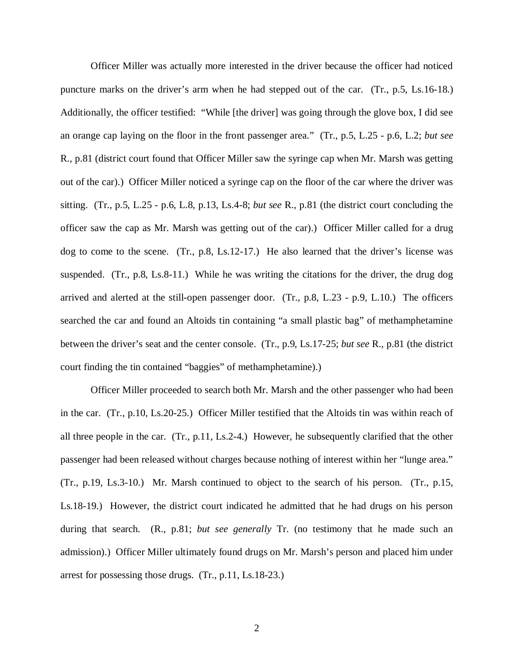Officer Miller was actually more interested in the driver because the officer had noticed puncture marks on the driver's arm when he had stepped out of the car. (Tr., p.5, Ls.16-18.) Additionally, the officer testified: "While [the driver] was going through the glove box, I did see an orange cap laying on the floor in the front passenger area." (Tr., p.5, L.25 - p.6, L.2; *but see* R., p.81 (district court found that Officer Miller saw the syringe cap when Mr. Marsh was getting out of the car).) Officer Miller noticed a syringe cap on the floor of the car where the driver was sitting. (Tr., p.5, L.25 - p.6, L.8, p.13, Ls.4-8; *but see* R., p.81 (the district court concluding the officer saw the cap as Mr. Marsh was getting out of the car).) Officer Miller called for a drug dog to come to the scene. (Tr., p.8, Ls.12-17.) He also learned that the driver's license was suspended. (Tr., p.8, Ls.8-11.) While he was writing the citations for the driver, the drug dog arrived and alerted at the still-open passenger door. (Tr., p.8, L.23 - p.9, L.10.) The officers searched the car and found an Altoids tin containing "a small plastic bag" of methamphetamine between the driver's seat and the center console. (Tr., p.9, Ls.17-25; *but see* R., p.81 (the district court finding the tin contained "baggies" of methamphetamine).)

Officer Miller proceeded to search both Mr. Marsh and the other passenger who had been in the car. (Tr., p.10, Ls.20-25.) Officer Miller testified that the Altoids tin was within reach of all three people in the car. (Tr., p.11, Ls.2-4.) However, he subsequently clarified that the other passenger had been released without charges because nothing of interest within her "lunge area." (Tr., p.19, Ls.3-10.) Mr. Marsh continued to object to the search of his person. (Tr., p.15, Ls.18-19.) However, the district court indicated he admitted that he had drugs on his person during that search. (R., p.81; *but see generally* Tr. (no testimony that he made such an admission).) Officer Miller ultimately found drugs on Mr. Marsh's person and placed him under arrest for possessing those drugs. (Tr., p.11, Ls.18-23.)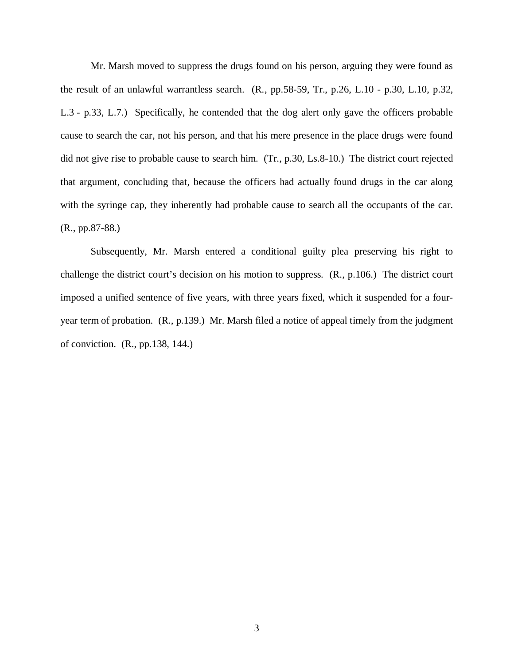Mr. Marsh moved to suppress the drugs found on his person, arguing they were found as the result of an unlawful warrantless search. (R., pp.58-59, Tr., p.26, L.10 - p.30, L.10, p.32, L.3 - p.33, L.7.) Specifically, he contended that the dog alert only gave the officers probable cause to search the car, not his person, and that his mere presence in the place drugs were found did not give rise to probable cause to search him. (Tr., p.30, Ls.8-10.) The district court rejected that argument, concluding that, because the officers had actually found drugs in the car along with the syringe cap, they inherently had probable cause to search all the occupants of the car. (R., pp.87-88.)

Subsequently, Mr. Marsh entered a conditional guilty plea preserving his right to challenge the district court's decision on his motion to suppress. (R., p.106.) The district court imposed a unified sentence of five years, with three years fixed, which it suspended for a fouryear term of probation. (R., p.139.) Mr. Marsh filed a notice of appeal timely from the judgment of conviction. (R., pp.138, 144.)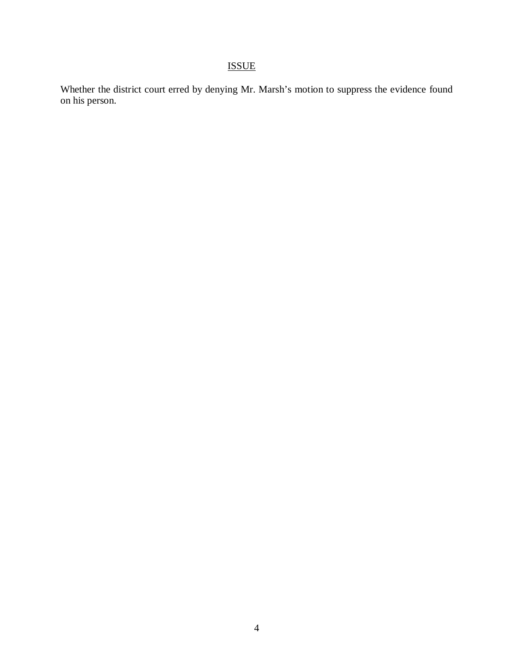# ISSUE

Whether the district court erred by denying Mr. Marsh's motion to suppress the evidence found on his person.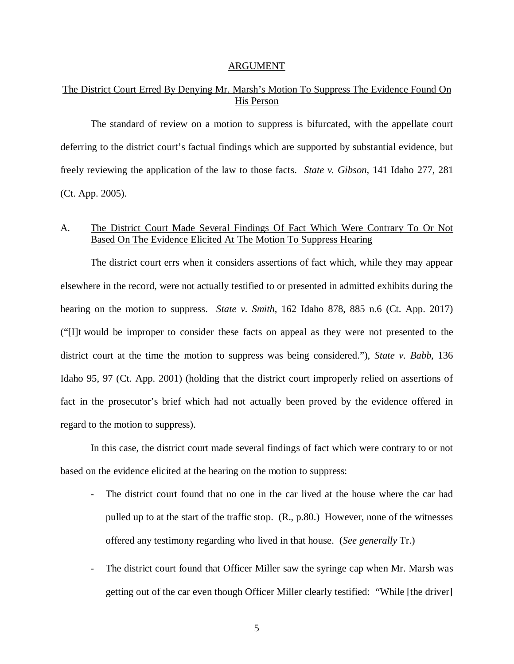#### ARGUMENT

## The District Court Erred By Denying Mr. Marsh's Motion To Suppress The Evidence Found On His Person

The standard of review on a motion to suppress is bifurcated, with the appellate court deferring to the district court's factual findings which are supported by substantial evidence, but freely reviewing the application of the law to those facts. *State v. Gibson*, 141 Idaho 277, 281 (Ct. App. 2005).

### A. The District Court Made Several Findings Of Fact Which Were Contrary To Or Not Based On The Evidence Elicited At The Motion To Suppress Hearing

The district court errs when it considers assertions of fact which, while they may appear elsewhere in the record, were not actually testified to or presented in admitted exhibits during the hearing on the motion to suppress. *State v. Smith*, 162 Idaho 878, 885 n.6 (Ct. App. 2017) ("[I]t would be improper to consider these facts on appeal as they were not presented to the district court at the time the motion to suppress was being considered."), *State v. Babb*, 136 Idaho 95, 97 (Ct. App. 2001) (holding that the district court improperly relied on assertions of fact in the prosecutor's brief which had not actually been proved by the evidence offered in regard to the motion to suppress).

In this case, the district court made several findings of fact which were contrary to or not based on the evidence elicited at the hearing on the motion to suppress:

- The district court found that no one in the car lived at the house where the car had pulled up to at the start of the traffic stop. (R., p.80.) However, none of the witnesses offered any testimony regarding who lived in that house. (*See generally* Tr.)
- The district court found that Officer Miller saw the syringe cap when Mr. Marsh was getting out of the car even though Officer Miller clearly testified: "While [the driver]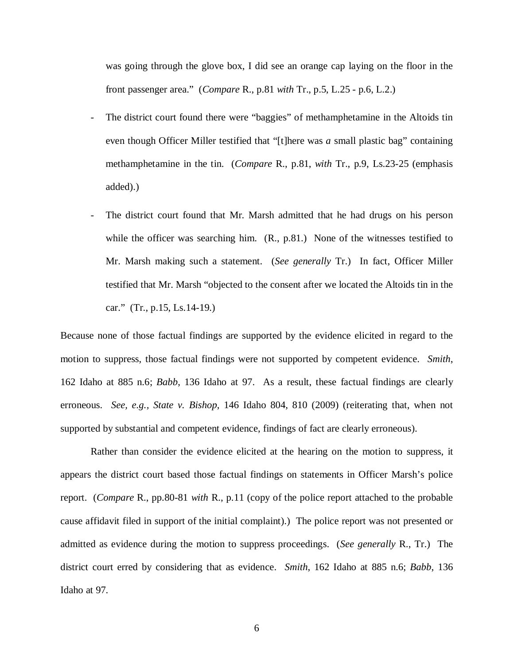was going through the glove box, I did see an orange cap laying on the floor in the front passenger area." (*Compare* R., p.81 *with* Tr., p.5, L.25 - p.6, L.2.)

- The district court found there were "baggies" of methamphetamine in the Altoids tin even though Officer Miller testified that "[t]here was *a* small plastic bag" containing methamphetamine in the tin. (*Compare* R., p.81, *with* Tr., p.9, Ls.23-25 (emphasis added).)
- The district court found that Mr. Marsh admitted that he had drugs on his person while the officer was searching him. (R., p.81.) None of the witnesses testified to Mr. Marsh making such a statement. (*See generally* Tr.) In fact, Officer Miller testified that Mr. Marsh "objected to the consent after we located the Altoids tin in the car." (Tr., p.15, Ls.14-19.)

Because none of those factual findings are supported by the evidence elicited in regard to the motion to suppress, those factual findings were not supported by competent evidence. *Smith*, 162 Idaho at 885 n.6; *Babb*, 136 Idaho at 97. As a result, these factual findings are clearly erroneous. *See, e.g., State v. Bishop*, 146 Idaho 804, 810 (2009) (reiterating that, when not supported by substantial and competent evidence, findings of fact are clearly erroneous).

Rather than consider the evidence elicited at the hearing on the motion to suppress, it appears the district court based those factual findings on statements in Officer Marsh's police report. (*Compare* R., pp.80-81 *with* R., p.11 (copy of the police report attached to the probable cause affidavit filed in support of the initial complaint).) The police report was not presented or admitted as evidence during the motion to suppress proceedings. (*See generally* R., Tr.) The district court erred by considering that as evidence. *Smith*, 162 Idaho at 885 n.6; *Babb*, 136 Idaho at 97.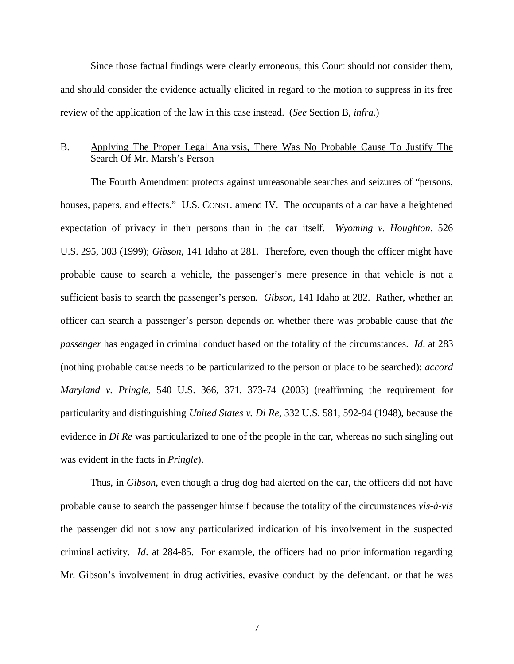Since those factual findings were clearly erroneous, this Court should not consider them, and should consider the evidence actually elicited in regard to the motion to suppress in its free review of the application of the law in this case instead. (*See* Section B, *infra*.)

## B. Applying The Proper Legal Analysis, There Was No Probable Cause To Justify The Search Of Mr. Marsh's Person

The Fourth Amendment protects against unreasonable searches and seizures of "persons, houses, papers, and effects." U.S. CONST. amend IV. The occupants of a car have a heightened expectation of privacy in their persons than in the car itself. *Wyoming v. Houghton*, 526 U.S. 295, 303 (1999); *Gibson*, 141 Idaho at 281. Therefore, even though the officer might have probable cause to search a vehicle, the passenger's mere presence in that vehicle is not a sufficient basis to search the passenger's person. *Gibson*, 141 Idaho at 282. Rather, whether an officer can search a passenger's person depends on whether there was probable cause that *the passenger* has engaged in criminal conduct based on the totality of the circumstances. *Id*. at 283 (nothing probable cause needs to be particularized to the person or place to be searched); *accord Maryland v. Pringle*, 540 U.S. 366, 371, 373-74 (2003) (reaffirming the requirement for particularity and distinguishing *United States v. Di Re*, 332 U.S. 581, 592-94 (1948), because the evidence in *Di Re* was particularized to one of the people in the car, whereas no such singling out was evident in the facts in *Pringle*).

Thus, in *Gibson*, even though a drug dog had alerted on the car, the officers did not have probable cause to search the passenger himself because the totality of the circumstances *vis-à-vis* the passenger did not show any particularized indication of his involvement in the suspected criminal activity. *Id*. at 284-85. For example, the officers had no prior information regarding Mr. Gibson's involvement in drug activities, evasive conduct by the defendant, or that he was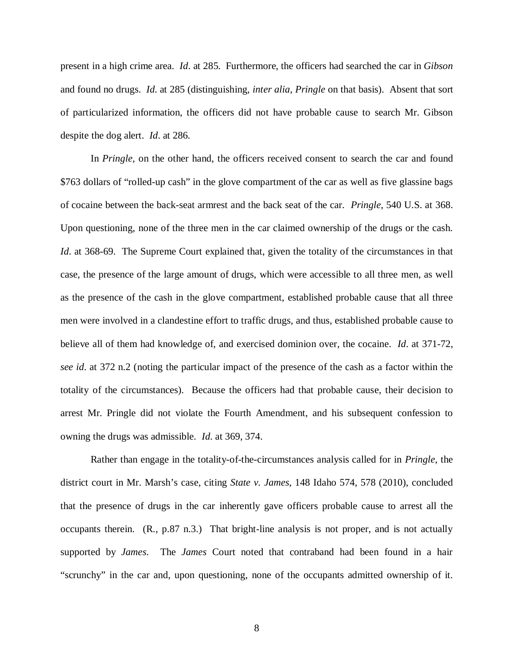present in a high crime area. *Id*. at 285. Furthermore, the officers had searched the car in *Gibson* and found no drugs. *Id*. at 285 (distinguishing, *inter alia*, *Pringle* on that basis). Absent that sort of particularized information, the officers did not have probable cause to search Mr. Gibson despite the dog alert. *Id*. at 286.

In *Pringle*, on the other hand, the officers received consent to search the car and found \$763 dollars of "rolled-up cash" in the glove compartment of the car as well as five glassine bags of cocaine between the back-seat armrest and the back seat of the car. *Pringle*, 540 U.S. at 368. Upon questioning, none of the three men in the car claimed ownership of the drugs or the cash. *Id.* at 368-69. The Supreme Court explained that, given the totality of the circumstances in that case, the presence of the large amount of drugs, which were accessible to all three men, as well as the presence of the cash in the glove compartment, established probable cause that all three men were involved in a clandestine effort to traffic drugs, and thus, established probable cause to believe all of them had knowledge of, and exercised dominion over, the cocaine. *Id*. at 371-72, *see id*. at 372 n.2 (noting the particular impact of the presence of the cash as a factor within the totality of the circumstances). Because the officers had that probable cause, their decision to arrest Mr. Pringle did not violate the Fourth Amendment, and his subsequent confession to owning the drugs was admissible. *Id*. at 369, 374.

Rather than engage in the totality-of-the-circumstances analysis called for in *Pringle*, the district court in Mr. Marsh's case, citing *State v. James*, 148 Idaho 574, 578 (2010), concluded that the presence of drugs in the car inherently gave officers probable cause to arrest all the occupants therein. (R., p.87 n.3.) That bright-line analysis is not proper, and is not actually supported by *James*. The *James* Court noted that contraband had been found in a hair "scrunchy" in the car and, upon questioning, none of the occupants admitted ownership of it.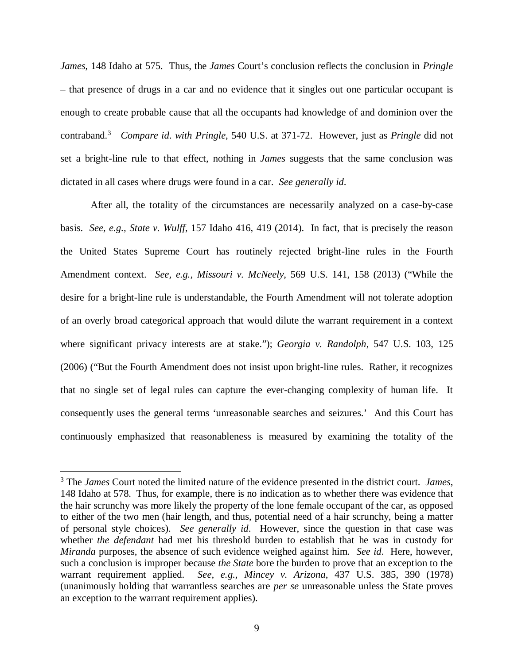*James*, 148 Idaho at 575. Thus, the *James* Court's conclusion reflects the conclusion in *Pringle* – that presence of drugs in a car and no evidence that it singles out one particular occupant is enough to create probable cause that all the occupants had knowledge of and dominion over the contraband.[3](#page-12-0) *Compare id*. *with Pringle*, 540 U.S. at 371-72. However, just as *Pringle* did not set a bright-line rule to that effect, nothing in *James* suggests that the same conclusion was dictated in all cases where drugs were found in a car. *See generally id*.

After all, the totality of the circumstances are necessarily analyzed on a case-by-case basis. *See, e.g., State v. Wulff*, 157 Idaho 416, 419 (2014). In fact, that is precisely the reason the United States Supreme Court has routinely rejected bright-line rules in the Fourth Amendment context. *See, e.g., Missouri v. McNeely*, 569 U.S. 141, 158 (2013) ("While the desire for a bright-line rule is understandable, the Fourth Amendment will not tolerate adoption of an overly broad categorical approach that would dilute the warrant requirement in a context where significant privacy interests are at stake."); *Georgia v. Randolph*, 547 U.S. 103, 125 (2006) ("But the Fourth Amendment does not insist upon bright-line rules. Rather, it recognizes that no single set of legal rules can capture the ever-changing complexity of human life. It consequently uses the general terms 'unreasonable searches and seizures.' And this Court has continuously emphasized that reasonableness is measured by examining the totality of the

<span id="page-12-0"></span><sup>3</sup> The *James* Court noted the limited nature of the evidence presented in the district court. *James*, 148 Idaho at 578. Thus, for example, there is no indication as to whether there was evidence that the hair scrunchy was more likely the property of the lone female occupant of the car, as opposed to either of the two men (hair length, and thus, potential need of a hair scrunchy, being a matter of personal style choices). *See generally id*. However, since the question in that case was whether *the defendant* had met his threshold burden to establish that he was in custody for *Miranda* purposes, the absence of such evidence weighed against him. *See id*. Here, however, such a conclusion is improper because *the State* bore the burden to prove that an exception to the warrant requirement applied. *See, e.g., Mincey v. Arizona*, 437 U.S. 385, 390 (1978) (unanimously holding that warrantless searches are *per se* unreasonable unless the State proves an exception to the warrant requirement applies).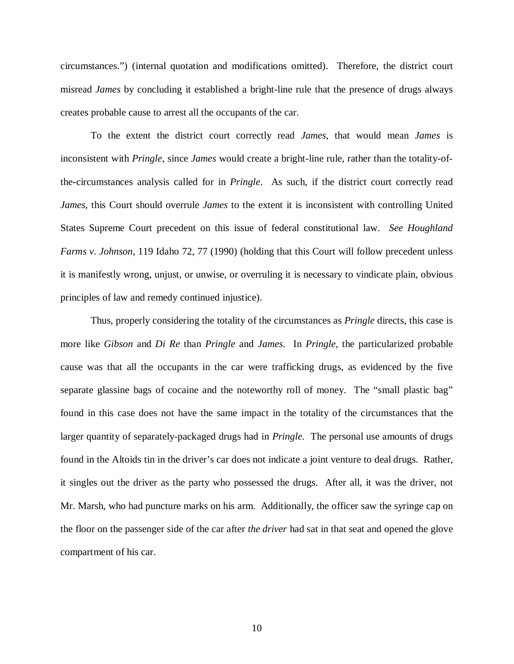circumstances.") (internal quotation and modifications omitted). Therefore, the district court misread *James* by concluding it established a bright-line rule that the presence of drugs always creates probable cause to arrest all the occupants of the car.

To the extent the district court correctly read *James*, that would mean *James* is inconsistent with *Pringle*, since *James* would create a bright-line rule, rather than the totality-ofthe-circumstances analysis called for in *Pringle*. As such, if the district court correctly read *James*, this Court should overrule *James* to the extent it is inconsistent with controlling United States Supreme Court precedent on this issue of federal constitutional law. *See Houghland Farms v. Johnson*, 119 Idaho 72, 77 (1990) (holding that this Court will follow precedent unless it is manifestly wrong, unjust, or unwise, or overruling it is necessary to vindicate plain, obvious principles of law and remedy continued injustice).

Thus, properly considering the totality of the circumstances as *Pringle* directs, this case is more like *Gibson* and *Di Re* than *Pringle* and *James*. In *Pringle*, the particularized probable cause was that all the occupants in the car were trafficking drugs, as evidenced by the five separate glassine bags of cocaine and the noteworthy roll of money. The "small plastic bag" found in this case does not have the same impact in the totality of the circumstances that the larger quantity of separately-packaged drugs had in *Pringle.* The personal use amounts of drugs found in the Altoids tin in the driver's car does not indicate a joint venture to deal drugs. Rather, it singles out the driver as the party who possessed the drugs. After all, it was the driver, not Mr. Marsh, who had puncture marks on his arm. Additionally, the officer saw the syringe cap on the floor on the passenger side of the car after *the driver* had sat in that seat and opened the glove compartment of his car.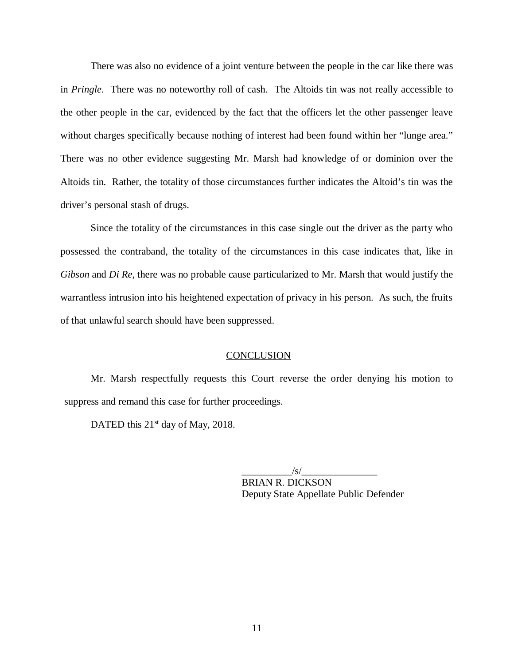There was also no evidence of a joint venture between the people in the car like there was in *Pringle*. There was no noteworthy roll of cash. The Altoids tin was not really accessible to the other people in the car, evidenced by the fact that the officers let the other passenger leave without charges specifically because nothing of interest had been found within her "lunge area." There was no other evidence suggesting Mr. Marsh had knowledge of or dominion over the Altoids tin. Rather, the totality of those circumstances further indicates the Altoid's tin was the driver's personal stash of drugs.

Since the totality of the circumstances in this case single out the driver as the party who possessed the contraband, the totality of the circumstances in this case indicates that, like in *Gibson* and *Di Re*, there was no probable cause particularized to Mr. Marsh that would justify the warrantless intrusion into his heightened expectation of privacy in his person. As such, the fruits of that unlawful search should have been suppressed.

### **CONCLUSION**

Mr. Marsh respectfully requests this Court reverse the order denying his motion to suppress and remand this case for further proceedings.

DATED this  $21<sup>st</sup>$  day of May, 2018.

 $/\mathrm{s}/\sim$ BRIAN R. DICKSON Deputy State Appellate Public Defender